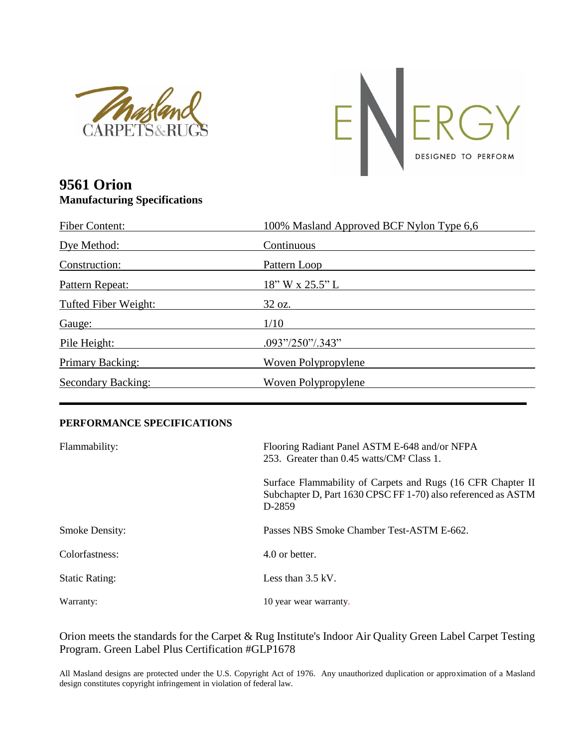



## **9561 Orion Manufacturing Specifications**

| <b>Fiber Content:</b> | 100% Masland Approved BCF Nylon Type 6,6                               |
|-----------------------|------------------------------------------------------------------------|
| Dye Method:           | Continuous                                                             |
| Construction:         | Pattern Loop                                                           |
| Pattern Repeat:       | 18" W x 25.5" L                                                        |
| Tufted Fiber Weight:  | $32 \text{ oz.}$                                                       |
| Gauge:                | 1/10                                                                   |
| Pile Height:          | $.093\frac{\text{''}}{\text{250\%}}.343\frac{\text{''}}{\text{250\%}}$ |
| Primary Backing:      | Woven Polypropylene                                                    |
| Secondary Backing:    | Woven Polypropylene                                                    |

## **PERFORMANCE SPECIFICATIONS**

| Flammability:         | Flooring Radiant Panel ASTM E-648 and/or NFPA<br>253. Greater than 0.45 watts/CM <sup>2</sup> Class 1.                                  |
|-----------------------|-----------------------------------------------------------------------------------------------------------------------------------------|
|                       | Surface Flammability of Carpets and Rugs (16 CFR Chapter II)<br>Subchapter D, Part 1630 CPSC FF 1-70) also referenced as ASTM<br>D-2859 |
| <b>Smoke Density:</b> | Passes NBS Smoke Chamber Test-ASTM E-662.                                                                                               |
| Colorfastness:        | 4.0 or better.                                                                                                                          |
| <b>Static Rating:</b> | Less than $3.5 \text{ kV}$ .                                                                                                            |
| Warranty:             | 10 year wear warranty.                                                                                                                  |

## Orion meets the standards for the Carpet & Rug Institute's Indoor Air Quality Green Label Carpet Testing Program. Green Label Plus Certification #GLP1678

All Masland designs are protected under the U.S. Copyright Act of 1976. Any unauthorized duplication or approximation of a Masland design constitutes copyright infringement in violation of federal law.